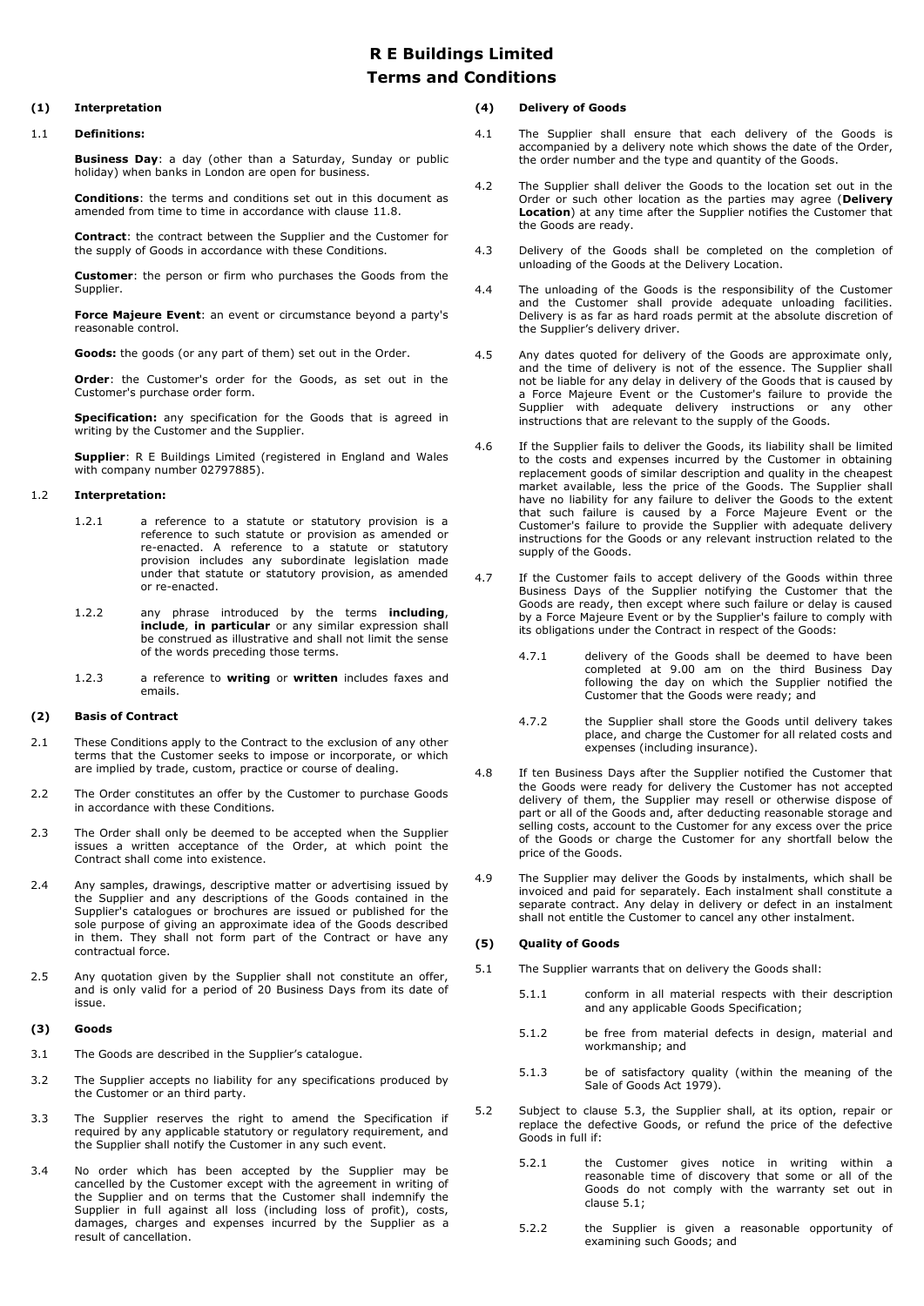# **R E Buildings Limited Terms and Conditions**

## **(1) Interpretation**

## 1.1 **Definitions:**

**Business Day**: a day (other than a Saturday, Sunday or public holiday) when banks in London are open for business.

**Conditions**: the terms and conditions set out in this document as amended from time to time in accordance with clause 11.8.

**Contract**: the contract between the Supplier and the Customer for the supply of Goods in accordance with these Conditions.

**Customer**: the person or firm who purchases the Goods from the Supplier.

**Force Majeure Event:** an event or circumstance beyond a party's reasonable control.

**Goods:** the goods (or any part of them) set out in the Order.

**Order**: the Customer's order for the Goods, as set out in the Customer's purchase order form.

**Specification:** any specification for the Goods that is agreed in writing by the Customer and the Supplier.

**Supplier**: R E Buildings Limited (registered in England and Wales with company number 02797885).

## 1.2 **Interpretation:**

- 1.2.1 a reference to a statute or statutory provision is a reference to such statute or provision as amended or re-enacted. A reference to a statute or statutory provision includes any subordinate legislation made under that statute or statutory provision, as amended or re-enacted.
- 1.2.2 any phrase introduced by the terms **including**, **include**, **in particular** or any similar expression shall be construed as illustrative and shall not limit the sense of the words preceding those terms.
- 1.2.3 a reference to **writing** or **written** includes faxes and emails.

## **(2) Basis of Contract**

- 2.1 These Conditions apply to the Contract to the exclusion of any other terms that the Customer seeks to impose or incorporate, or which are implied by trade, custom, practice or course of dealing.
- 2.2 The Order constitutes an offer by the Customer to purchase Goods in accordance with these Conditions.
- 2.3 The Order shall only be deemed to be accepted when the Supplier issues a written acceptance of the Order, at which point the Contract shall come into existence.
- 2.4 Any samples, drawings, descriptive matter or advertising issued by the Supplier and any descriptions of the Goods contained in the Supplier's catalogues or brochures are issued or published for the sole purpose of giving an approximate idea of the Goods described in them. They shall not form part of the Contract or have any contractual force.
- 2.5 Any quotation given by the Supplier shall not constitute an offer, and is only valid for a period of 20 Business Days from its date of issue.

## **(3) Goods**

- 3.1 The Goods are described in the Supplier's catalogue.
- 3.2 The Supplier accepts no liability for any specifications produced by the Customer or an third party.
- 3.3 The Supplier reserves the right to amend the Specification if required by any applicable statutory or regulatory requirement, and the Supplier shall notify the Customer in any such event.
- 3.4 No order which has been accepted by the Supplier may be cancelled by the Customer except with the agreement in writing of the Supplier and on terms that the Customer shall indemnify the Supplier in full against all loss (including loss of profit), costs, damages, charges and expenses incurred by the Supplier as a result of cancellation.

## **(4) Delivery of Goods**

- 4.1 The Supplier shall ensure that each delivery of the Goods is accompanied by a delivery note which shows the date of the Order, the order number and the type and quantity of the Goods.
- 4.2 The Supplier shall deliver the Goods to the location set out in the Order or such other location as the parties may agree (**Delivery Location**) at any time after the Supplier notifies the Customer that the Goods are ready.
- 4.3 Delivery of the Goods shall be completed on the completion of unloading of the Goods at the Delivery Location.
- 4.4 The unloading of the Goods is the responsibility of the Customer and the Customer shall provide adequate unloading facilities. Delivery is as far as hard roads permit at the absolute discretion of the Supplier's delivery driver.
- 4.5 Any dates quoted for delivery of the Goods are approximate only, and the time of delivery is not of the essence. The Supplier shall not be liable for any delay in delivery of the Goods that is caused by a Force Majeure Event or the Customer's failure to provide the Supplier with adequate delivery instructions or any other instructions that are relevant to the supply of the Goods.
- 4.6 If the Supplier fails to deliver the Goods, its liability shall be limited to the costs and expenses incurred by the Customer in obtaining replacement goods of similar description and quality in the cheapest market available, less the price of the Goods. The Supplier shall have no liability for any failure to deliver the Goods to the extent that such failure is caused by a Force Majeure Event or the Customer's failure to provide the Supplier with adequate delivery instructions for the Goods or any relevant instruction related to the supply of the Goods.
- 4.7 If the Customer fails to accept delivery of the Goods within three Business Days of the Supplier notifying the Customer that the Goods are ready, then except where such failure or delay is caused by a Force Majeure Event or by the Supplier's failure to comply with its obligations under the Contract in respect of the Goods:
	- 4.7.1 delivery of the Goods shall be deemed to have been completed at 9.00 am on the third Business Day following the day on which the Supplier notified the Customer that the Goods were ready; and
	- 4.7.2 the Supplier shall store the Goods until delivery takes place, and charge the Customer for all related costs and expenses (including insurance).
- 4.8 If ten Business Days after the Supplier notified the Customer that the Goods were ready for delivery the Customer has not accepted delivery of them, the Supplier may resell or otherwise dispose of part or all of the Goods and, after deducting reasonable storage and selling costs, account to the Customer for any excess over the price of the Goods or charge the Customer for any shortfall below the price of the Goods.
- 4.9 The Supplier may deliver the Goods by instalments, which shall be invoiced and paid for separately. Each instalment shall constitute a separate contract. Any delay in delivery or defect in an instalment shall not entitle the Customer to cancel any other instalment.

# **(5) Quality of Goods**

- <span id="page-0-0"></span>5.1 The Supplier warrants that on delivery the Goods shall:
	- 5.1.1 conform in all material respects with their description and any applicable Goods Specification;
	- 5.1.2 be free from material defects in design, material and workmanship; and
	- 5.1.3 be of satisfactory quality (within the meaning of the Sale of Goods Act 1979).
- <span id="page-0-1"></span>5.2 Subject to clause [5.3,](#page-1-0) the Supplier shall, at its option, repair or replace the defective Goods, or refund the price of the defective Goods in full if:
	- 5.2.1 the Customer gives notice in writing within a reasonable time of discovery that some or all of the Goods do not comply with the warranty set out in clause [5.1;](#page-0-0)
	- 5.2.2 the Supplier is given a reasonable opportunity of examining such Goods; and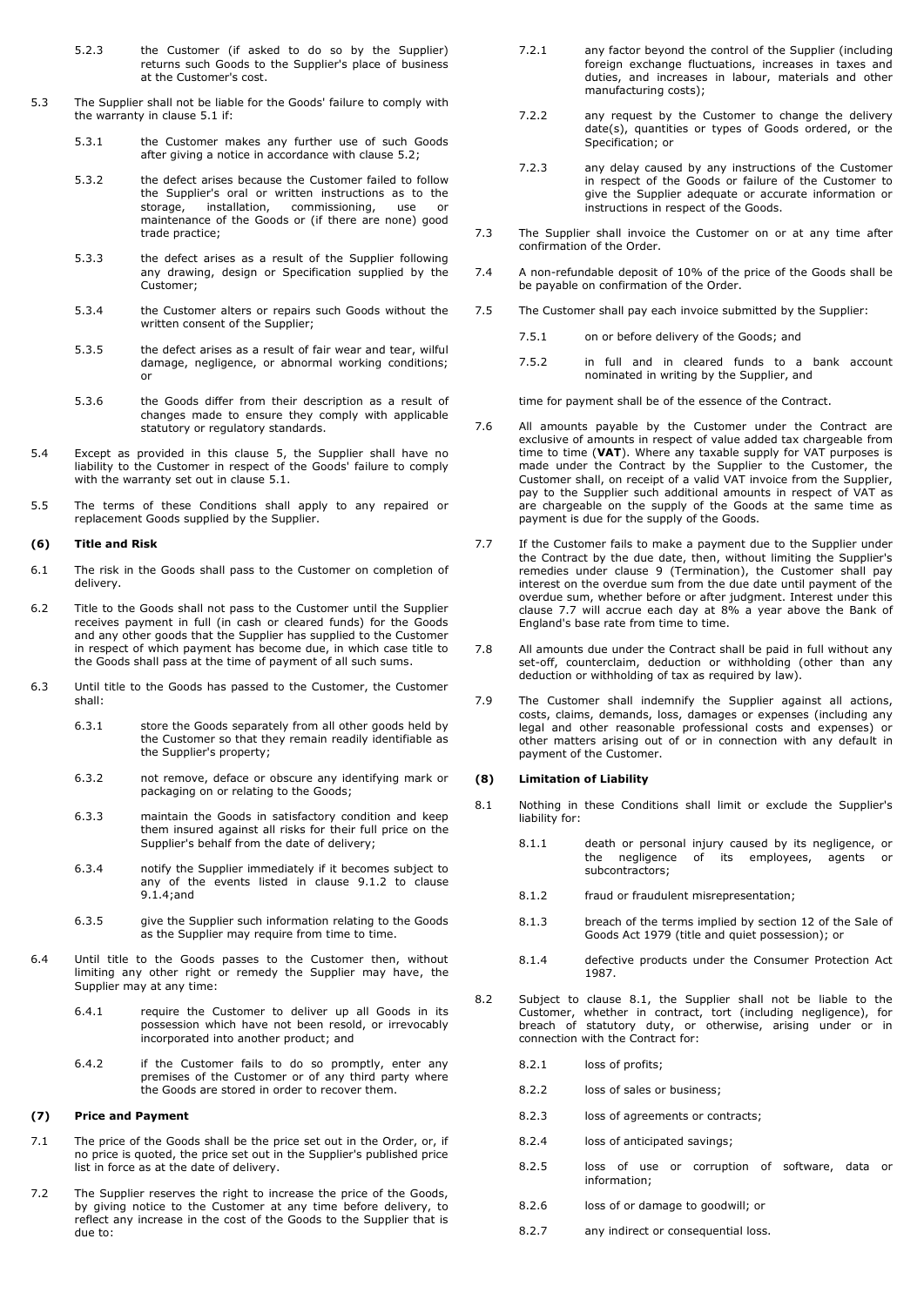- 5.2.3 the Customer (if asked to do so by the Supplier) returns such Goods to the Supplier's place of business at the Customer's cost.
- <span id="page-1-0"></span>5.3 The Supplier shall not be liable for the Goods' failure to comply with the warranty in clause [5.1](#page-0-0) if:
	- 5.3.1 the Customer makes any further use of such Goods after giving a notice in accordance with clause [5.2;](#page-0-1)
	- 5.3.2 the defect arises because the Customer failed to follow the Supplier's oral or written instructions as to the storage, installation, commissioning, use or maintenance of the Goods or (if there are none) good trade practice;
	- 5.3.3 the defect arises as a result of the Supplier following any drawing, design or Specification supplied by the Customer;
	- 5.3.4 the Customer alters or repairs such Goods without the written consent of the Supplier;
	- 5.3.5 the defect arises as a result of fair wear and tear, wilful damage, negligence, or abnormal working conditions; or
	- 5.3.6 the Goods differ from their description as a result of changes made to ensure they comply with applicable statutory or regulatory standards.
- 5.4 Except as provided in this clause 5, the Supplier shall have no liability to the Customer in respect of the Goods' failure to comply with the warranty set out in clause [5.1.](#page-0-0)
- 5.5 The terms of these Conditions shall apply to any repaired or replacement Goods supplied by the Supplier.

## **(6) Title and Risk**

- 6.1 The risk in the Goods shall pass to the Customer on completion of delivery.
- 6.2 Title to the Goods shall not pass to the Customer until the Supplier receives payment in full (in cash or cleared funds) for the Goods and any other goods that the Supplier has supplied to the Customer in respect of which payment has become due, in which case title to the Goods shall pass at the time of payment of all such sums.
- 6.3 Until title to the Goods has passed to the Customer, the Customer shall:
	- 6.3.1 store the Goods separately from all other goods held by the Customer so that they remain readily identifiable as the Supplier's property;
	- 6.3.2 not remove, deface or obscure any identifying mark or packaging on or relating to the Goods;
	- 6.3.3 maintain the Goods in satisfactory condition and keep them insured against all risks for their full price on the Supplier's behalf from the date of delivery;
	- 6.3.4 notify the Supplier immediately if it becomes subject to any of the events listed in clause [9.1.2](#page-2-0) to clause [9.1.4;](#page-2-1)and
	- 6.3.5 give the Supplier such information relating to the Goods as the Supplier may require from time to time.
- 6.4 Until title to the Goods passes to the Customer then, without limiting any other right or remedy the Supplier may have, the Supplier may at any time:
	- 6.4.1 require the Customer to deliver up all Goods in its possession which have not been resold, or irrevocably incorporated into another product; and
	- 6.4.2 if the Customer fails to do so promptly, enter any premises of the Customer or of any third party where the Goods are stored in order to recover them.

## **(7) Price and Payment**

- 7.1 The price of the Goods shall be the price set out in the Order, or, if no price is quoted, the price set out in the Supplier's published price list in force as at the date of delivery.
- 7.2 The Supplier reserves the right to increase the price of the Goods, by giving notice to the Customer at any time before delivery, to reflect any increase in the cost of the Goods to the Supplier that is due to:
- 7.2.1 any factor beyond the control of the Supplier (including foreign exchange fluctuations, increases in taxes and duties, and increases in labour, materials and other manufacturing costs);
- 7.2.2 any request by the Customer to change the delivery date(s), quantities or types of Goods ordered, or the Specification; or
- 7.2.3 any delay caused by any instructions of the Customer in respect of the Goods or failure of the Customer to give the Supplier adequate or accurate information or instructions in respect of the Goods.
- 7.3 The Supplier shall invoice the Customer on or at any time after confirmation of the Order.
- 7.4 A non-refundable deposit of 10% of the price of the Goods shall be be payable on confirmation of the Order.
- 7.5 The Customer shall pay each invoice submitted by the Supplier:
	- 7.5.1 on or before delivery of the Goods; and
	- 7.5.2 in full and in cleared funds to a bank account nominated in writing by the Supplier, and

time for payment shall be of the essence of the Contract.

- 7.6 All amounts payable by the Customer under the Contract are exclusive of amounts in respect of value added tax chargeable from time to time (**VAT**). Where any taxable supply for VAT purposes is made under the Contract by the Supplier to the Customer, the Customer shall, on receipt of a valid VAT invoice from the Supplier, pay to the Supplier such additional amounts in respect of VAT as are chargeable on the supply of the Goods at the same time as payment is due for the supply of the Goods.
- <span id="page-1-1"></span>7.7 If the Customer fails to make a payment due to the Supplier under the Contract by the due date, then, without limiting the Supplier's remedies under clause 9 (Termination), the Customer shall pay interest on the overdue sum from the due date until payment of the overdue sum, whether before or after judgment. Interest under this clause [7.7](#page-1-1) will accrue each day at 8% a year above the Bank of England's base rate from time to time.
- 7.8 All amounts due under the Contract shall be paid in full without any set-off, counterclaim, deduction or withholding (other than any deduction or withholding of tax as required by law).
- 7.9 The Customer shall indemnify the Supplier against all actions, costs, claims, demands, loss, damages or expenses (including any legal and other reasonable professional costs and expenses) or other matters arising out of or in connection with any default in payment of the Customer.

## **(8) Limitation of Liability**

- <span id="page-1-2"></span>8.1 Nothing in these Conditions shall limit or exclude the Supplier's liability for:
	- 8.1.1 death or personal injury caused by its negligence, or the negligence of its employees, agents or subcontractors;
	- 8.1.2 fraud or fraudulent misrepresentation;
	- 8.1.3 breach of the terms implied by section 12 of the Sale of Goods Act 1979 (title and quiet possession); or
	- 8.1.4 defective products under the Consumer Protection Act 1987.
- 8.2 Subject to clause [8.1,](#page-1-2) the Supplier shall not be liable to the Customer, whether in contract, tort (including negligence), for breach of statutory duty, or otherwise, arising under or in connection with the Contract for:
	- 8.2.1 loss of profits;
	- 8.2.2 loss of sales or business;
	- 8.2.3 loss of agreements or contracts;
	- 8.2.4 loss of anticipated savings;
	- 8.2.5 loss of use or corruption of software, data or information;
	- 8.2.6 loss of or damage to goodwill; or
	- 8.2.7 any indirect or consequential loss.